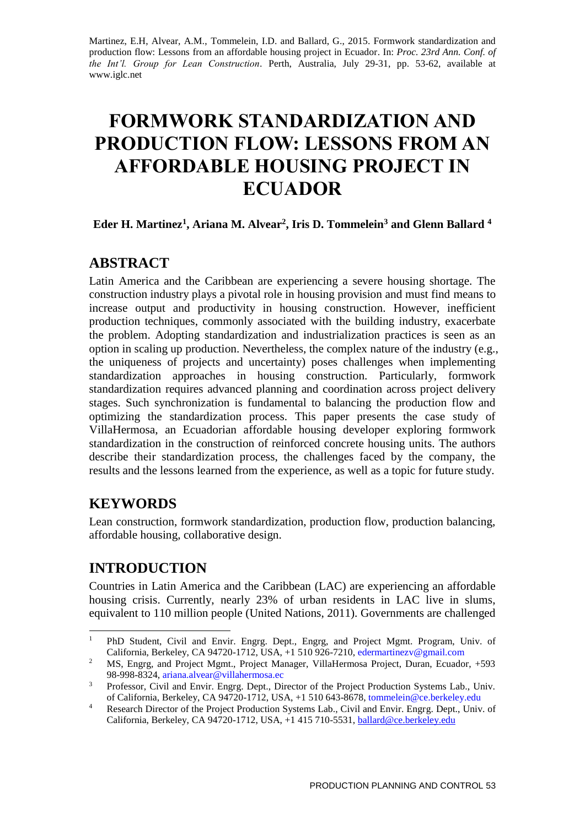Martinez, E.H, Alvear, A.M., Tommelein, I.D. and Ballard, G., 2015. Formwork standardization and production flow: Lessons from an affordable housing project in Ecuador. In: *Proc. 23rd Ann. Conf. of the Int'l. Group for Lean Construction*. Perth, Australia, July 29-31, pp. 53-62, available at www.iglc.net

# **FORMWORK STANDARDIZATION AND PRODUCTION FLOW: LESSONS FROM AN AFFORDABLE HOUSING PROJECT IN ECUADOR**

**Eder H. Martinez<sup>1</sup> , Ariana M. Alvear<sup>2</sup> , Iris D. Tommelein<sup>3</sup> and Glenn Ballard <sup>4</sup>**

# **ABSTRACT**

Latin America and the Caribbean are experiencing a severe housing shortage. The construction industry plays a pivotal role in housing provision and must find means to increase output and productivity in housing construction. However, inefficient production techniques, commonly associated with the building industry, exacerbate the problem. Adopting standardization and industrialization practices is seen as an option in scaling up production. Nevertheless, the complex nature of the industry (e.g., the uniqueness of projects and uncertainty) poses challenges when implementing standardization approaches in housing construction. Particularly, formwork standardization requires advanced planning and coordination across project delivery stages. Such synchronization is fundamental to balancing the production flow and optimizing the standardization process. This paper presents the case study of VillaHermosa, an Ecuadorian affordable housing developer exploring formwork standardization in the construction of reinforced concrete housing units. The authors describe their standardization process, the challenges faced by the company, the results and the lessons learned from the experience, as well as a topic for future study.

# **KEYWORDS**

Lean construction, formwork standardization, production flow, production balancing, affordable housing, collaborative design.

# **INTRODUCTION**

Countries in Latin America and the Caribbean (LAC) are experiencing an affordable housing crisis. Currently, nearly 23% of urban residents in LAC live in slums, equivalent to 110 million people (United Nations, 2011). Governments are challenged

 $\mathbf{1}$ <sup>1</sup> PhD Student, Civil and Envir. Engrg. Dept., Engrg, and Project Mgmt. Program, Univ. of California, Berkeley, CA 94720-1712, USA,  $+1$  510 926-7210, edermartinezy@gmail.com

<sup>&</sup>lt;sup>2</sup> MS, Engrg, and Project Mgmt., Project Manager, VillaHermosa Project, Duran, Ecuador, +593 98-998-8324, [ariana.alvear@villahermosa.ec](mailto:ariana.alvear@villahermosa.ec)

<sup>&</sup>lt;sup>3</sup> Professor, Civil and Envir. Engrg. Dept., Director of the Project Production Systems Lab., Univ. of California, Berkeley, CA 94720-1712, USA, +1 510 643-8678, [tommelein@ce.berkeley.edu](mailto:tommelein@ce.berkeley.edu)

<sup>&</sup>lt;sup>4</sup> Research Director of the Project Production Systems Lab., Civil and Envir. Engrg. Dept., Univ. of California, Berkeley, CA 94720-1712, USA, +1 415 710-5531, [ballard@ce.berkeley.edu](mailto:ballard@ce.berkeley.edu)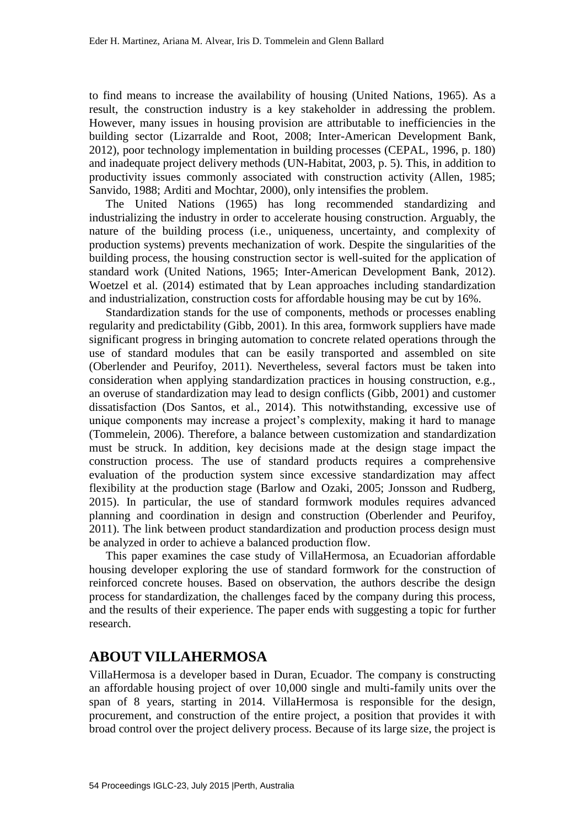to find means to increase the availability of housing (United Nations, 1965). As a result, the construction industry is a key stakeholder in addressing the problem. However, many issues in housing provision are attributable to inefficiencies in the building sector (Lizarralde and Root, 2008; Inter-American Development Bank, 2012), poor technology implementation in building processes (CEPAL, 1996, p. 180) and inadequate project delivery methods (UN-Habitat, 2003, p. 5). This, in addition to productivity issues commonly associated with construction activity (Allen, 1985; Sanvido, 1988; Arditi and Mochtar, 2000), only intensifies the problem.

The United Nations (1965) has long recommended standardizing and industrializing the industry in order to accelerate housing construction. Arguably, the nature of the building process (i.e., uniqueness, uncertainty, and complexity of production systems) prevents mechanization of work. Despite the singularities of the building process, the housing construction sector is well-suited for the application of standard work (United Nations, 1965; Inter-American Development Bank, 2012). Woetzel et al. (2014) estimated that by Lean approaches including standardization and industrialization, construction costs for affordable housing may be cut by 16%.

Standardization stands for the use of components, methods or processes enabling regularity and predictability (Gibb, 2001). In this area, formwork suppliers have made significant progress in bringing automation to concrete related operations through the use of standard modules that can be easily transported and assembled on site (Oberlender and Peurifoy, 2011). Nevertheless, several factors must be taken into consideration when applying standardization practices in housing construction, e.g., an overuse of standardization may lead to design conflicts (Gibb, 2001) and customer dissatisfaction (Dos Santos, et al., 2014). This notwithstanding, excessive use of unique components may increase a project's complexity, making it hard to manage (Tommelein, 2006). Therefore, a balance between customization and standardization must be struck. In addition, key decisions made at the design stage impact the construction process. The use of standard products requires a comprehensive evaluation of the production system since excessive standardization may affect flexibility at the production stage (Barlow and Ozaki, 2005; Jonsson and Rudberg, 2015). In particular, the use of standard formwork modules requires advanced planning and coordination in design and construction (Oberlender and Peurifoy, 2011). The link between product standardization and production process design must be analyzed in order to achieve a balanced production flow.

This paper examines the case study of VillaHermosa, an Ecuadorian affordable housing developer exploring the use of standard formwork for the construction of reinforced concrete houses. Based on observation, the authors describe the design process for standardization, the challenges faced by the company during this process, and the results of their experience. The paper ends with suggesting a topic for further research.

#### **ABOUT VILLAHERMOSA**

VillaHermosa is a developer based in Duran, Ecuador. The company is constructing an affordable housing project of over 10,000 single and multi-family units over the span of 8 years, starting in 2014. VillaHermosa is responsible for the design, procurement, and construction of the entire project, a position that provides it with broad control over the project delivery process. Because of its large size, the project is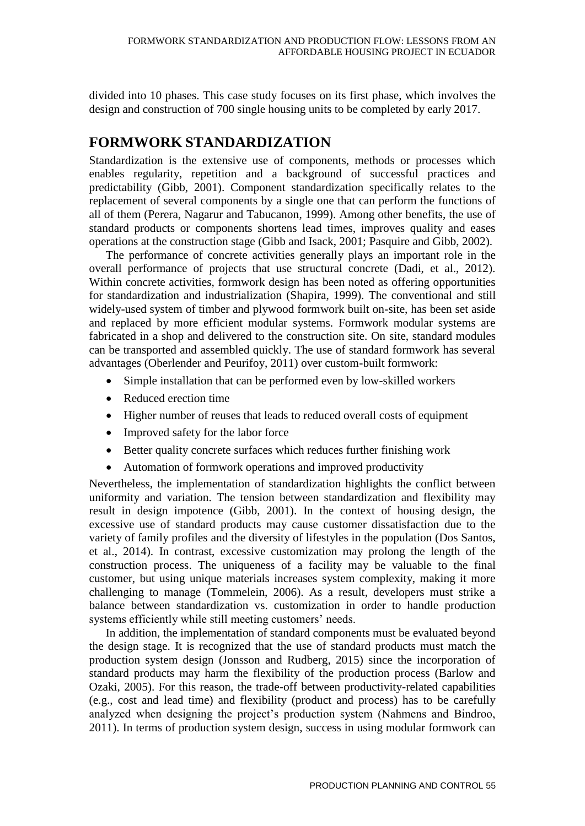divided into 10 phases. This case study focuses on its first phase, which involves the design and construction of 700 single housing units to be completed by early 2017.

### **FORMWORK STANDARDIZATION**

Standardization is the extensive use of components, methods or processes which enables regularity, repetition and a background of successful practices and predictability (Gibb, 2001). Component standardization specifically relates to the replacement of several components by a single one that can perform the functions of all of them (Perera, Nagarur and Tabucanon, 1999). Among other benefits, the use of standard products or components shortens lead times, improves quality and eases operations at the construction stage (Gibb and Isack, 2001; Pasquire and Gibb, 2002).

The performance of concrete activities generally plays an important role in the overall performance of projects that use structural concrete (Dadi, et al., 2012). Within concrete activities, formwork design has been noted as offering opportunities for standardization and industrialization (Shapira, 1999). The conventional and still widely-used system of timber and plywood formwork built on-site, has been set aside and replaced by more efficient modular systems. Formwork modular systems are fabricated in a shop and delivered to the construction site. On site, standard modules can be transported and assembled quickly. The use of standard formwork has several advantages (Oberlender and Peurifoy, 2011) over custom-built formwork:

- Simple installation that can be performed even by low-skilled workers
- Reduced erection time
- Higher number of reuses that leads to reduced overall costs of equipment
- Improved safety for the labor force
- Better quality concrete surfaces which reduces further finishing work
- Automation of formwork operations and improved productivity

Nevertheless, the implementation of standardization highlights the conflict between uniformity and variation. The tension between standardization and flexibility may result in design impotence (Gibb, 2001). In the context of housing design, the excessive use of standard products may cause customer dissatisfaction due to the variety of family profiles and the diversity of lifestyles in the population (Dos Santos, et al., 2014). In contrast, excessive customization may prolong the length of the construction process. The uniqueness of a facility may be valuable to the final customer, but using unique materials increases system complexity, making it more challenging to manage (Tommelein, 2006). As a result, developers must strike a balance between standardization vs. customization in order to handle production systems efficiently while still meeting customers' needs.

In addition, the implementation of standard components must be evaluated beyond the design stage. It is recognized that the use of standard products must match the production system design (Jonsson and Rudberg, 2015) since the incorporation of standard products may harm the flexibility of the production process (Barlow and Ozaki, 2005). For this reason, the trade-off between productivity-related capabilities (e.g., cost and lead time) and flexibility (product and process) has to be carefully analyzed when designing the project's production system (Nahmens and Bindroo, 2011). In terms of production system design, success in using modular formwork can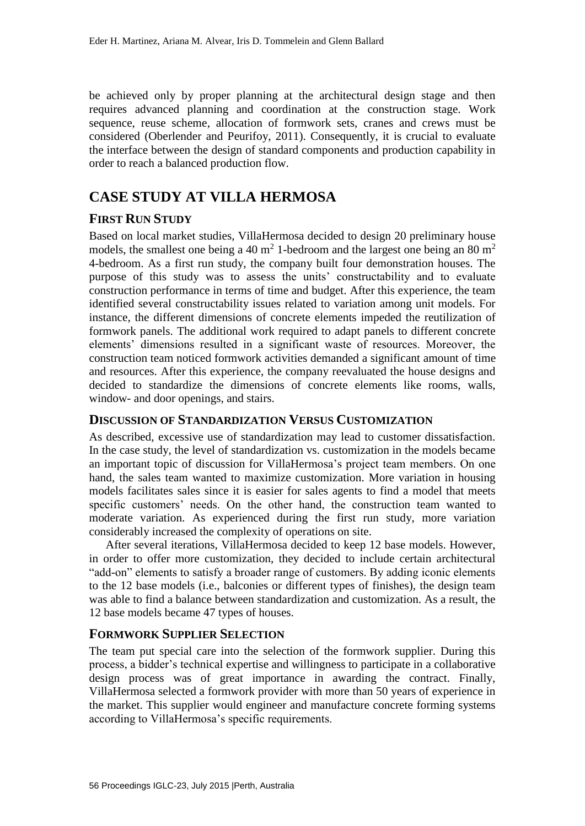be achieved only by proper planning at the architectural design stage and then requires advanced planning and coordination at the construction stage. Work sequence, reuse scheme, allocation of formwork sets, cranes and crews must be considered (Oberlender and Peurifoy, 2011). Consequently, it is crucial to evaluate the interface between the design of standard components and production capability in order to reach a balanced production flow.

### **CASE STUDY AT VILLA HERMOSA**

#### **FIRST RUN STUDY**

Based on local market studies, VillaHermosa decided to design 20 preliminary house models, the smallest one being a 40 m<sup>2</sup> 1-bedroom and the largest one being an 80 m<sup>2</sup> 4-bedroom. As a first run study, the company built four demonstration houses. The purpose of this study was to assess the units' constructability and to evaluate construction performance in terms of time and budget. After this experience, the team identified several constructability issues related to variation among unit models. For instance, the different dimensions of concrete elements impeded the reutilization of formwork panels. The additional work required to adapt panels to different concrete elements' dimensions resulted in a significant waste of resources. Moreover, the construction team noticed formwork activities demanded a significant amount of time and resources. After this experience, the company reevaluated the house designs and decided to standardize the dimensions of concrete elements like rooms, walls, window- and door openings, and stairs.

#### **DISCUSSION OF STANDARDIZATION VERSUS CUSTOMIZATION**

As described, excessive use of standardization may lead to customer dissatisfaction. In the case study, the level of standardization vs. customization in the models became an important topic of discussion for VillaHermosa's project team members. On one hand, the sales team wanted to maximize customization. More variation in housing models facilitates sales since it is easier for sales agents to find a model that meets specific customers' needs. On the other hand, the construction team wanted to moderate variation. As experienced during the first run study, more variation considerably increased the complexity of operations on site.

After several iterations, VillaHermosa decided to keep 12 base models. However, in order to offer more customization, they decided to include certain architectural "add-on" elements to satisfy a broader range of customers. By adding iconic elements to the 12 base models (i.e., balconies or different types of finishes), the design team was able to find a balance between standardization and customization. As a result, the 12 base models became 47 types of houses.

#### **FORMWORK SUPPLIER SELECTION**

The team put special care into the selection of the formwork supplier. During this process, a bidder's technical expertise and willingness to participate in a collaborative design process was of great importance in awarding the contract. Finally, VillaHermosa selected a formwork provider with more than 50 years of experience in the market. This supplier would engineer and manufacture concrete forming systems according to VillaHermosa's specific requirements.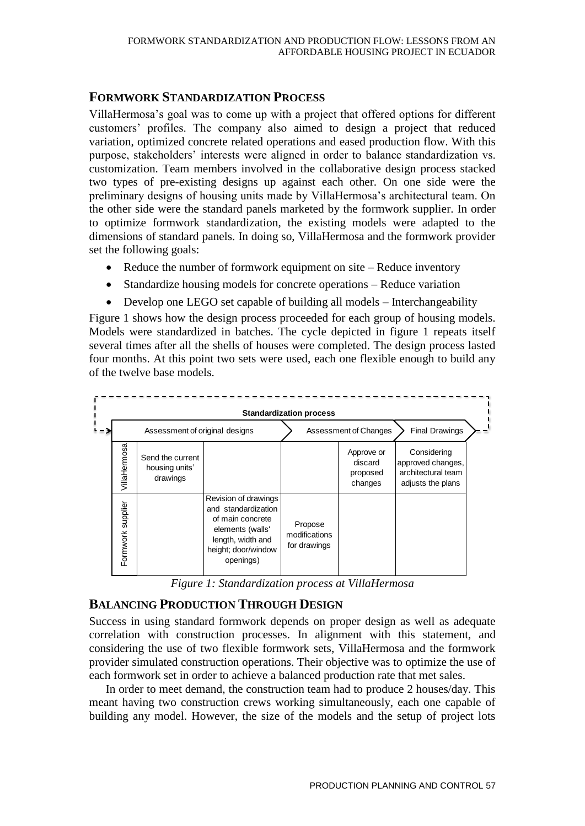#### **FORMWORK STANDARDIZATION PROCESS**

VillaHermosa's goal was to come up with a project that offered options for different customers' profiles. The company also aimed to design a project that reduced variation, optimized concrete related operations and eased production flow. With this purpose, stakeholders' interests were aligned in order to balance standardization vs. customization. Team members involved in the collaborative design process stacked two types of pre-existing designs up against each other. On one side were the preliminary designs of housing units made by VillaHermosa's architectural team. On the other side were the standard panels marketed by the formwork supplier. In order to optimize formwork standardization, the existing models were adapted to the dimensions of standard panels. In doing so, VillaHermosa and the formwork provider set the following goals:

- Reduce the number of formwork equipment on site Reduce inventory
- Standardize housing models for concrete operations Reduce variation
- Develop one LEGO set capable of building all models Interchangeability

Figure 1 shows how the design process proceeded for each group of housing models. Models were standardized in batches. The cycle depicted in figure 1 repeats itself several times after all the shells of houses were completed. The design process lasted four months. At this point two sets were used, each one flexible enough to build any of the twelve base models.



*Figure 1: Standardization process at VillaHermosa*

#### **BALANCING PRODUCTION THROUGH DESIGN**

Success in using standard formwork depends on proper design as well as adequate correlation with construction processes. In alignment with this statement, and considering the use of two flexible formwork sets, VillaHermosa and the formwork provider simulated construction operations. Their objective was to optimize the use of each formwork set in order to achieve a balanced production rate that met sales.

In order to meet demand, the construction team had to produce 2 houses/day. This meant having two construction crews working simultaneously, each one capable of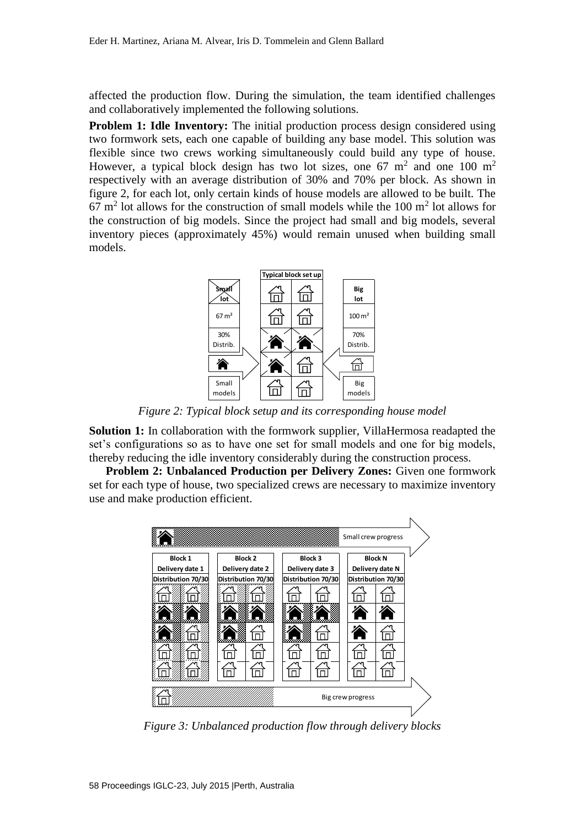affected the production flow. During the simulation, the team identified challenges and collaboratively implemented the following solutions.

**Problem 1: Idle Inventory:** The initial production process design considered using two formwork sets, each one capable of building any base model. This solution was flexible since two crews working simultaneously could build any type of house. However, a typical block design has two lot sizes, one 67  $m<sup>2</sup>$  and one 100  $m<sup>2</sup>$ respectively with an average distribution of 30% and 70% per block. As shown in figure 2, for each lot, only certain kinds of house models are allowed to be built. The  $67 \text{ m}^2$  lot allows for the construction of small models while the 100 m<sup>2</sup> lot allows for the construction of big models. Since the project had small and big models, several inventory pieces (approximately 45%) would remain unused when building small models.



*Figure 2: Typical block setup and its corresponding house model* 

**Solution 1:** In collaboration with the formwork supplier, VillaHermosa readapted the set's configurations so as to have one set for small models and one for big models, thereby reducing the idle inventory considerably during the construction process.

**Problem 2: Unbalanced Production per Delivery Zones:** Given one formwork set for each type of house, two specialized crews are necessary to maximize inventory use and make production efficient.



*Figure 3: Unbalanced production flow through delivery blocks*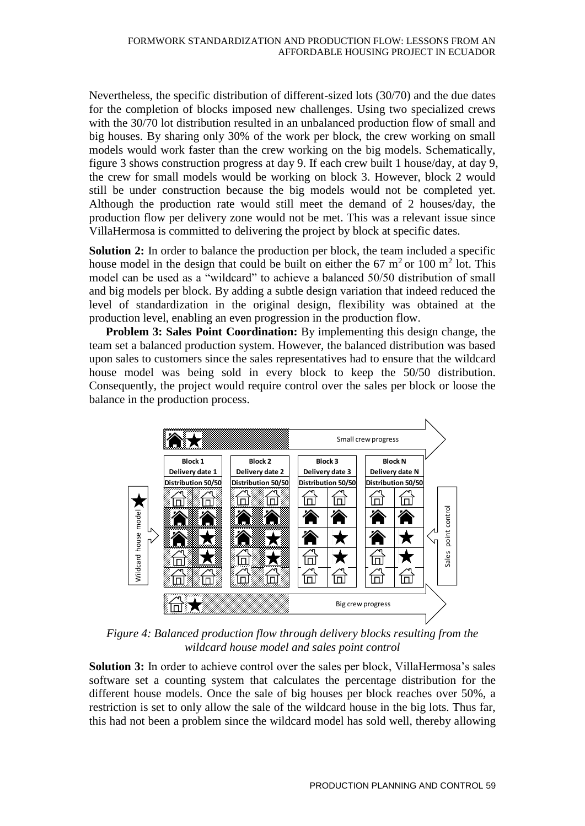Nevertheless, the specific distribution of different-sized lots (30/70) and the due dates for the completion of blocks imposed new challenges. Using two specialized crews with the 30/70 lot distribution resulted in an unbalanced production flow of small and big houses. By sharing only 30% of the work per block, the crew working on small models would work faster than the crew working on the big models. Schematically, figure 3 shows construction progress at day 9. If each crew built 1 house/day, at day 9, the crew for small models would be working on block 3. However, block 2 would still be under construction because the big models would not be completed yet. Although the production rate would still meet the demand of 2 houses/day, the production flow per delivery zone would not be met. This was a relevant issue since VillaHermosa is committed to delivering the project by block at specific dates.

**Solution 2:** In order to balance the production per block, the team included a specific house model in the design that could be built on either the 67  $m<sup>2</sup>$  or 100  $m<sup>2</sup>$  lot. This model can be used as a "wildcard" to achieve a balanced 50/50 distribution of small and big models per block. By adding a subtle design variation that indeed reduced the level of standardization in the original design, flexibility was obtained at the production level, enabling an even progression in the production flow.

**Problem 3: Sales Point Coordination:** By implementing this design change, the team set a balanced production system. However, the balanced distribution was based upon sales to customers since the sales representatives had to ensure that the wildcard house model was being sold in every block to keep the 50/50 distribution. Consequently, the project would require control over the sales per block or loose the balance in the production process.



*Figure 4: Balanced production flow through delivery blocks resulting from the wildcard house model and sales point control*

**Solution 3:** In order to achieve control over the sales per block, VillaHermosa's sales software set a counting system that calculates the percentage distribution for the different house models. Once the sale of big houses per block reaches over 50%, a restriction is set to only allow the sale of the wildcard house in the big lots. Thus far, this had not been a problem since the wildcard model has sold well, thereby allowing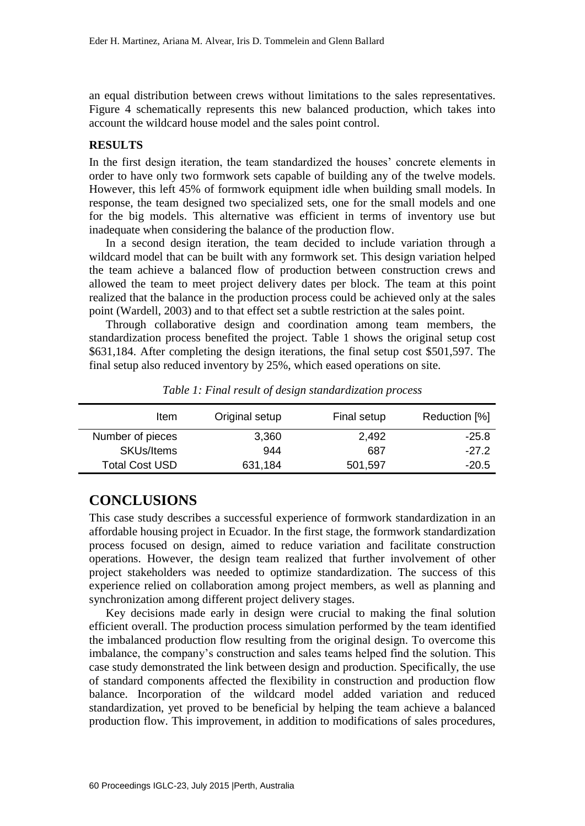an equal distribution between crews without limitations to the sales representatives. Figure 4 schematically represents this new balanced production, which takes into account the wildcard house model and the sales point control.

#### **RESULTS**

In the first design iteration, the team standardized the houses' concrete elements in order to have only two formwork sets capable of building any of the twelve models. However, this left 45% of formwork equipment idle when building small models. In response, the team designed two specialized sets, one for the small models and one for the big models. This alternative was efficient in terms of inventory use but inadequate when considering the balance of the production flow.

In a second design iteration, the team decided to include variation through a wildcard model that can be built with any formwork set. This design variation helped the team achieve a balanced flow of production between construction crews and allowed the team to meet project delivery dates per block. The team at this point realized that the balance in the production process could be achieved only at the sales point (Wardell, 2003) and to that effect set a subtle restriction at the sales point.

Through collaborative design and coordination among team members, the standardization process benefited the project. Table 1 shows the original setup cost \$631,184. After completing the design iterations, the final setup cost \$501,597. The final setup also reduced inventory by 25%, which eased operations on site.

| Item                  | Original setup | Final setup | Reduction [%] |
|-----------------------|----------------|-------------|---------------|
| Number of pieces      | 3,360          | 2,492       | $-25.8$       |
| <b>SKUs/Items</b>     | 944            | 687         | $-27.2$       |
| <b>Total Cost USD</b> | 631,184        | 501,597     | $-20.5$       |

*Table 1: Final result of design standardization process*

### **CONCLUSIONS**

This case study describes a successful experience of formwork standardization in an affordable housing project in Ecuador. In the first stage, the formwork standardization process focused on design, aimed to reduce variation and facilitate construction operations. However, the design team realized that further involvement of other project stakeholders was needed to optimize standardization. The success of this experience relied on collaboration among project members, as well as planning and synchronization among different project delivery stages.

Key decisions made early in design were crucial to making the final solution efficient overall. The production process simulation performed by the team identified the imbalanced production flow resulting from the original design. To overcome this imbalance, the company's construction and sales teams helped find the solution. This case study demonstrated the link between design and production. Specifically, the use of standard components affected the flexibility in construction and production flow balance. Incorporation of the wildcard model added variation and reduced standardization, yet proved to be beneficial by helping the team achieve a balanced production flow. This improvement, in addition to modifications of sales procedures,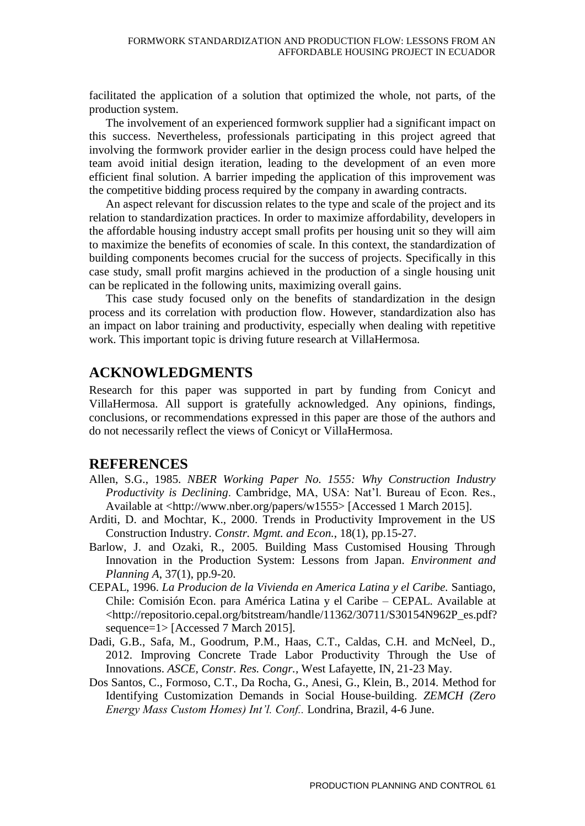facilitated the application of a solution that optimized the whole, not parts, of the production system.

The involvement of an experienced formwork supplier had a significant impact on this success. Nevertheless, professionals participating in this project agreed that involving the formwork provider earlier in the design process could have helped the team avoid initial design iteration, leading to the development of an even more efficient final solution. A barrier impeding the application of this improvement was the competitive bidding process required by the company in awarding contracts.

An aspect relevant for discussion relates to the type and scale of the project and its relation to standardization practices. In order to maximize affordability, developers in the affordable housing industry accept small profits per housing unit so they will aim to maximize the benefits of economies of scale. In this context, the standardization of building components becomes crucial for the success of projects. Specifically in this case study, small profit margins achieved in the production of a single housing unit can be replicated in the following units, maximizing overall gains.

This case study focused only on the benefits of standardization in the design process and its correlation with production flow. However, standardization also has an impact on labor training and productivity, especially when dealing with repetitive work. This important topic is driving future research at VillaHermosa.

## **ACKNOWLEDGMENTS**

Research for this paper was supported in part by funding from Conicyt and VillaHermosa. All support is gratefully acknowledged. Any opinions, findings, conclusions, or recommendations expressed in this paper are those of the authors and do not necessarily reflect the views of Conicyt or VillaHermosa.

#### **REFERENCES**

- Allen, S.G., 1985. *NBER Working Paper No. 1555: Why Construction Industry Productivity is Declining*. Cambridge, MA, USA: Nat'l. Bureau of Econ. Res., Available at <http://www.nber.org/papers/w1555> [Accessed 1 March 2015].
- Arditi, D. and Mochtar, K., 2000. Trends in Productivity Improvement in the US Construction Industry. *Constr. Mgmt. and Econ.*, 18(1), pp.15-27.
- Barlow, J. and Ozaki, R., 2005. Building Mass Customised Housing Through Innovation in the Production System: Lessons from Japan. *Environment and Planning A*, 37(1), pp.9-20.
- CEPAL, 1996. *La Producion de la Vivienda en America Latina y el Caribe.* Santiago, Chile: Comisión Econ. para América Latina y el Caribe *–* CEPAL. Available at <http://repositorio.cepal.org/bitstream/handle/11362/30711/S30154N962P\_es.pdf? sequence=1> [Accessed 7 March 2015].
- Dadi, G.B., Safa, M., Goodrum, P.M., Haas, C.T., Caldas, C.H. and McNeel, D., 2012. Improving Concrete Trade Labor Productivity Through the Use of Innovations. *ASCE, Constr. Res. Congr.,* West Lafayette, IN, 21-23 May.
- Dos Santos, C., Formoso, C.T., Da Rocha, G., Anesi, G., Klein, B., 2014. Method for Identifying Customization Demands in Social House-building. *ZEMCH (Zero Energy Mass Custom Homes) Int'l. Conf..* Londrina, Brazil, 4-6 June.